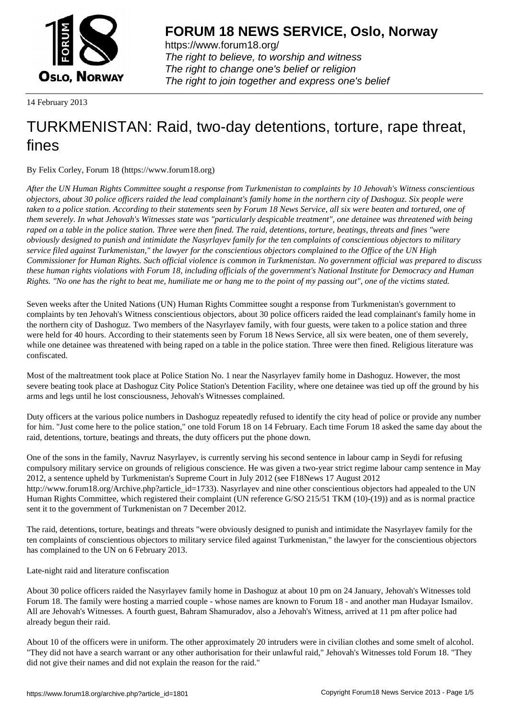

https://www.forum18.org/ The right to believe, to worship and witness The right to change one's belief or religion [The right to join together a](https://www.forum18.org/)nd express one's belief

14 February 2013

# [TURKMENISTA](https://www.forum18.org)N: Raid, two-day detentions, torture, rape threat, fines

By Felix Corley, Forum 18 (https://www.forum18.org)

*After the UN Human Rights Committee sought a response from Turkmenistan to complaints by 10 Jehovah's Witness conscientious objectors, about 30 police officers raided the lead complainant's family home in the northern city of Dashoguz. Six people were taken to a police station. According to their statements seen by Forum 18 News Service, all six were beaten and tortured, one of them severely. In what Jehovah's Witnesses state was "particularly despicable treatment", one detainee was threatened with being raped on a table in the police station. Three were then fined. The raid, detentions, torture, beatings, threats and fines "were obviously designed to punish and intimidate the Nasyrlayev family for the ten complaints of conscientious objectors to military service filed against Turkmenistan," the lawyer for the conscientious objectors complained to the Office of the UN High Commissioner for Human Rights. Such official violence is common in Turkmenistan. No government official was prepared to discuss these human rights violations with Forum 18, including officials of the government's National Institute for Democracy and Human Rights. "No one has the right to beat me, humiliate me or hang me to the point of my passing out", one of the victims stated.*

Seven weeks after the United Nations (UN) Human Rights Committee sought a response from Turkmenistan's government to complaints by ten Jehovah's Witness conscientious objectors, about 30 police officers raided the lead complainant's family home in the northern city of Dashoguz. Two members of the Nasyrlayev family, with four guests, were taken to a police station and three were held for 40 hours. According to their statements seen by Forum 18 News Service, all six were beaten, one of them severely, while one detainee was threatened with being raped on a table in the police station. Three were then fined. Religious literature was confiscated.

Most of the maltreatment took place at Police Station No. 1 near the Nasyrlayev family home in Dashoguz. However, the most severe beating took place at Dashoguz City Police Station's Detention Facility, where one detainee was tied up off the ground by his arms and legs until he lost consciousness, Jehovah's Witnesses complained.

Duty officers at the various police numbers in Dashoguz repeatedly refused to identify the city head of police or provide any number for him. "Just come here to the police station," one told Forum 18 on 14 February. Each time Forum 18 asked the same day about the raid, detentions, torture, beatings and threats, the duty officers put the phone down.

One of the sons in the family, Navruz Nasyrlayev, is currently serving his second sentence in labour camp in Seydi for refusing compulsory military service on grounds of religious conscience. He was given a two-year strict regime labour camp sentence in May 2012, a sentence upheld by Turkmenistan's Supreme Court in July 2012 (see F18News 17 August 2012 http://www.forum18.org/Archive.php?article\_id=1733). Nasyrlayev and nine other conscientious objectors had appealed to the UN Human Rights Committee, which registered their complaint (UN reference G/SO 215/51 TKM (10)-(19)) and as is normal practice sent it to the government of Turkmenistan on 7 December 2012.

The raid, detentions, torture, beatings and threats "were obviously designed to punish and intimidate the Nasyrlayev family for the ten complaints of conscientious objectors to military service filed against Turkmenistan," the lawyer for the conscientious objectors has complained to the UN on 6 February 2013.

Late-night raid and literature confiscation

About 30 police officers raided the Nasyrlayev family home in Dashoguz at about 10 pm on 24 January, Jehovah's Witnesses told Forum 18. The family were hosting a married couple - whose names are known to Forum 18 - and another man Hudayar Ismailov. All are Jehovah's Witnesses. A fourth guest, Bahram Shamuradov, also a Jehovah's Witness, arrived at 11 pm after police had already begun their raid.

About 10 of the officers were in uniform. The other approximately 20 intruders were in civilian clothes and some smelt of alcohol. "They did not have a search warrant or any other authorisation for their unlawful raid," Jehovah's Witnesses told Forum 18. "They did not give their names and did not explain the reason for the raid."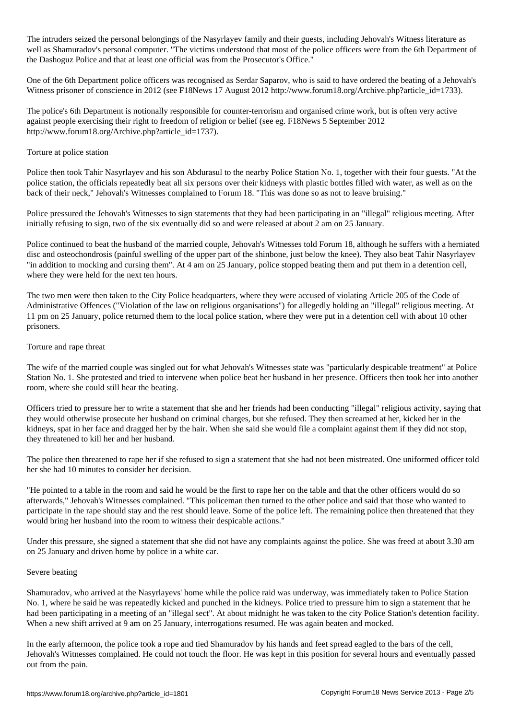The intruders seized the personal belongings of the Nasyrlayev family and their guests, including Jehovah's Witness literature as well as Shamuradov's personal computer. "The victims understood that most of the police officers were from the 6th Department of the Dashoguz Police and that at least one official was from the Prosecutor's Office."

One of the 6th Department police officers was recognised as Serdar Saparov, who is said to have ordered the beating of a Jehovah's Witness prisoner of conscience in 2012 (see F18News 17 August 2012 http://www.forum18.org/Archive.php?article\_id=1733).

The police's 6th Department is notionally responsible for counter-terrorism and organised crime work, but is often very active against people exercising their right to freedom of religion or belief (see eg. F18News 5 September 2012 http://www.forum18.org/Archive.php?article\_id=1737).

### Torture at police station

Police then took Tahir Nasyrlayev and his son Abdurasul to the nearby Police Station No. 1, together with their four guests. "At the police station, the officials repeatedly beat all six persons over their kidneys with plastic bottles filled with water, as well as on the back of their neck," Jehovah's Witnesses complained to Forum 18. "This was done so as not to leave bruising."

Police pressured the Jehovah's Witnesses to sign statements that they had been participating in an "illegal" religious meeting. After initially refusing to sign, two of the six eventually did so and were released at about 2 am on 25 January.

Police continued to beat the husband of the married couple, Jehovah's Witnesses told Forum 18, although he suffers with a herniated disc and osteochondrosis (painful swelling of the upper part of the shinbone, just below the knee). They also beat Tahir Nasyrlayev "in addition to mocking and cursing them". At 4 am on 25 January, police stopped beating them and put them in a detention cell, where they were held for the next ten hours.

The two men were then taken to the City Police headquarters, where they were accused of violating Article 205 of the Code of Administrative Offences ("Violation of the law on religious organisations") for allegedly holding an "illegal" religious meeting. At 11 pm on 25 January, police returned them to the local police station, where they were put in a detention cell with about 10 other prisoners.

## Torture and rape threat

The wife of the married couple was singled out for what Jehovah's Witnesses state was "particularly despicable treatment" at Police Station No. 1. She protested and tried to intervene when police beat her husband in her presence. Officers then took her into another room, where she could still hear the beating.

Officers tried to pressure her to write a statement that she and her friends had been conducting "illegal" religious activity, saying that they would otherwise prosecute her husband on criminal charges, but she refused. They then screamed at her, kicked her in the kidneys, spat in her face and dragged her by the hair. When she said she would file a complaint against them if they did not stop, they threatened to kill her and her husband.

The police then threatened to rape her if she refused to sign a statement that she had not been mistreated. One uniformed officer told her she had 10 minutes to consider her decision.

"He pointed to a table in the room and said he would be the first to rape her on the table and that the other officers would do so afterwards," Jehovah's Witnesses complained. "This policeman then turned to the other police and said that those who wanted to participate in the rape should stay and the rest should leave. Some of the police left. The remaining police then threatened that they would bring her husband into the room to witness their despicable actions."

Under this pressure, she signed a statement that she did not have any complaints against the police. She was freed at about 3.30 am on 25 January and driven home by police in a white car.

#### Severe beating

Shamuradov, who arrived at the Nasyrlayevs' home while the police raid was underway, was immediately taken to Police Station No. 1, where he said he was repeatedly kicked and punched in the kidneys. Police tried to pressure him to sign a statement that he had been participating in a meeting of an "illegal sect". At about midnight he was taken to the city Police Station's detention facility. When a new shift arrived at 9 am on 25 January, interrogations resumed. He was again beaten and mocked.

In the early afternoon, the police took a rope and tied Shamuradov by his hands and feet spread eagled to the bars of the cell, Jehovah's Witnesses complained. He could not touch the floor. He was kept in this position for several hours and eventually passed out from the pain.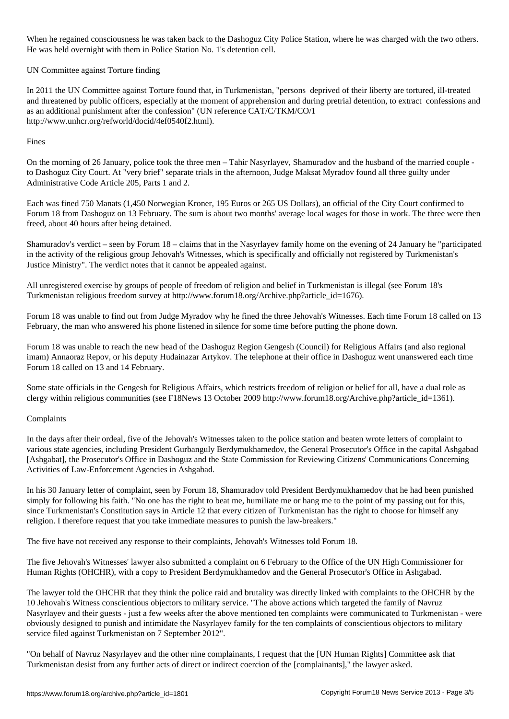When he regained consciousness he was taken back to the Dashoguz City Police Station, where he was charged with the two others. He was held overnight with them in Police Station No. 1's detention cell.

UN Committee against Torture finding

In 2011 the UN Committee against Torture found that, in Turkmenistan, "persons deprived of their liberty are tortured, ill-treated and threatened by public officers, especially at the moment of apprehension and during pretrial detention, to extract confessions and as an additional punishment after the confession" (UN reference CAT/C/TKM/CO/1 http://www.unhcr.org/refworld/docid/4ef0540f2.html).

## Fines

On the morning of 26 January, police took the three men – Tahir Nasyrlayev, Shamuradov and the husband of the married couple to Dashoguz City Court. At "very brief" separate trials in the afternoon, Judge Maksat Myradov found all three guilty under Administrative Code Article 205, Parts 1 and 2.

Each was fined 750 Manats (1,450 Norwegian Kroner, 195 Euros or 265 US Dollars), an official of the City Court confirmed to Forum 18 from Dashoguz on 13 February. The sum is about two months' average local wages for those in work. The three were then freed, about 40 hours after being detained.

Shamuradov's verdict – seen by Forum 18 – claims that in the Nasyrlayev family home on the evening of 24 January he "participated in the activity of the religious group Jehovah's Witnesses, which is specifically and officially not registered by Turkmenistan's Justice Ministry". The verdict notes that it cannot be appealed against.

All unregistered exercise by groups of people of freedom of religion and belief in Turkmenistan is illegal (see Forum 18's Turkmenistan religious freedom survey at http://www.forum18.org/Archive.php?article\_id=1676).

Forum 18 was unable to find out from Judge Myradov why he fined the three Jehovah's Witnesses. Each time Forum 18 called on 13 February, the man who answered his phone listened in silence for some time before putting the phone down.

Forum 18 was unable to reach the new head of the Dashoguz Region Gengesh (Council) for Religious Affairs (and also regional imam) Annaoraz Repov, or his deputy Hudainazar Artykov. The telephone at their office in Dashoguz went unanswered each time Forum 18 called on 13 and 14 February.

Some state officials in the Gengesh for Religious Affairs, which restricts freedom of religion or belief for all, have a dual role as clergy within religious communities (see F18News 13 October 2009 http://www.forum18.org/Archive.php?article\_id=1361).

## Complaints

In the days after their ordeal, five of the Jehovah's Witnesses taken to the police station and beaten wrote letters of complaint to various state agencies, including President Gurbanguly Berdymukhamedov, the General Prosecutor's Office in the capital Ashgabad [Ashgabat], the Prosecutor's Office in Dashoguz and the State Commission for Reviewing Citizens' Communications Concerning Activities of Law-Enforcement Agencies in Ashgabad.

In his 30 January letter of complaint, seen by Forum 18, Shamuradov told President Berdymukhamedov that he had been punished simply for following his faith. "No one has the right to beat me, humiliate me or hang me to the point of my passing out for this, since Turkmenistan's Constitution says in Article 12 that every citizen of Turkmenistan has the right to choose for himself any religion. I therefore request that you take immediate measures to punish the law-breakers."

The five have not received any response to their complaints, Jehovah's Witnesses told Forum 18.

The five Jehovah's Witnesses' lawyer also submitted a complaint on 6 February to the Office of the UN High Commissioner for Human Rights (OHCHR), with a copy to President Berdymukhamedov and the General Prosecutor's Office in Ashgabad.

The lawyer told the OHCHR that they think the police raid and brutality was directly linked with complaints to the OHCHR by the 10 Jehovah's Witness conscientious objectors to military service. "The above actions which targeted the family of Navruz Nasyrlayev and their guests - just a few weeks after the above mentioned ten complaints were communicated to Turkmenistan - were obviously designed to punish and intimidate the Nasyrlayev family for the ten complaints of conscientious objectors to military service filed against Turkmenistan on 7 September 2012".

"On behalf of Navruz Nasyrlayev and the other nine complainants, I request that the [UN Human Rights] Committee ask that Turkmenistan desist from any further acts of direct or indirect coercion of the [complainants]," the lawyer asked.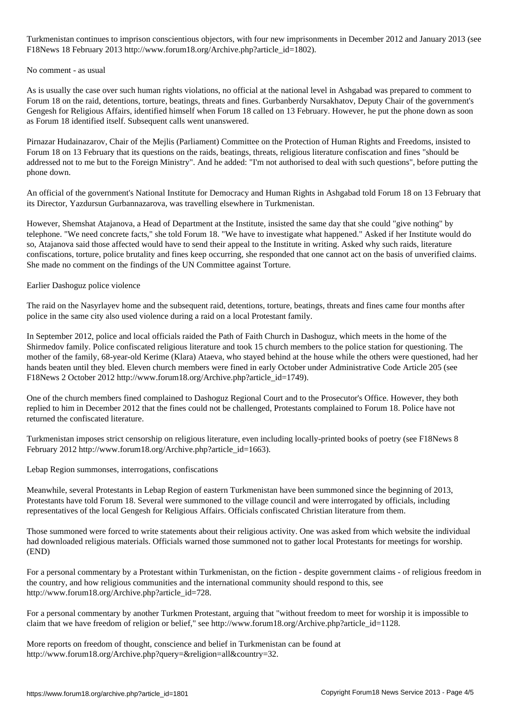Turkmenistan constitutious objectors, with four new imprison constitution conservation conservation  $\mathcal{A}$ F18News 18 February 2013 http://www.forum18.org/Archive.php?article\_id=1802).

### No comment - as usual

As is usually the case over such human rights violations, no official at the national level in Ashgabad was prepared to comment to Forum 18 on the raid, detentions, torture, beatings, threats and fines. Gurbanberdy Nursakhatov, Deputy Chair of the government's Gengesh for Religious Affairs, identified himself when Forum 18 called on 13 February. However, he put the phone down as soon as Forum 18 identified itself. Subsequent calls went unanswered.

Pirnazar Hudainazarov, Chair of the Mejlis (Parliament) Committee on the Protection of Human Rights and Freedoms, insisted to Forum 18 on 13 February that its questions on the raids, beatings, threats, religious literature confiscation and fines "should be addressed not to me but to the Foreign Ministry". And he added: "I'm not authorised to deal with such questions", before putting the phone down.

An official of the government's National Institute for Democracy and Human Rights in Ashgabad told Forum 18 on 13 February that its Director, Yazdursun Gurbannazarova, was travelling elsewhere in Turkmenistan.

However, Shemshat Atajanova, a Head of Department at the Institute, insisted the same day that she could "give nothing" by telephone. "We need concrete facts," she told Forum 18. "We have to investigate what happened." Asked if her Institute would do so, Atajanova said those affected would have to send their appeal to the Institute in writing. Asked why such raids, literature confiscations, torture, police brutality and fines keep occurring, she responded that one cannot act on the basis of unverified claims. She made no comment on the findings of the UN Committee against Torture.

## Earlier Dashoguz police violence

The raid on the Nasyrlayev home and the subsequent raid, detentions, torture, beatings, threats and fines came four months after police in the same city also used violence during a raid on a local Protestant family.

In September 2012, police and local officials raided the Path of Faith Church in Dashoguz, which meets in the home of the Shirmedov family. Police confiscated religious literature and took 15 church members to the police station for questioning. The mother of the family, 68-year-old Kerime (Klara) Ataeva, who stayed behind at the house while the others were questioned, had her hands beaten until they bled. Eleven church members were fined in early October under Administrative Code Article 205 (see F18News 2 October 2012 http://www.forum18.org/Archive.php?article\_id=1749).

One of the church members fined complained to Dashoguz Regional Court and to the Prosecutor's Office. However, they both replied to him in December 2012 that the fines could not be challenged, Protestants complained to Forum 18. Police have not returned the confiscated literature.

Turkmenistan imposes strict censorship on religious literature, even including locally-printed books of poetry (see F18News 8 February 2012 http://www.forum18.org/Archive.php?article\_id=1663).

Lebap Region summonses, interrogations, confiscations

Meanwhile, several Protestants in Lebap Region of eastern Turkmenistan have been summoned since the beginning of 2013, Protestants have told Forum 18. Several were summoned to the village council and were interrogated by officials, including representatives of the local Gengesh for Religious Affairs. Officials confiscated Christian literature from them.

Those summoned were forced to write statements about their religious activity. One was asked from which website the individual had downloaded religious materials. Officials warned those summoned not to gather local Protestants for meetings for worship. (END)

For a personal commentary by a Protestant within Turkmenistan, on the fiction - despite government claims - of religious freedom in the country, and how religious communities and the international community should respond to this, see http://www.forum18.org/Archive.php?article\_id=728.

For a personal commentary by another Turkmen Protestant, arguing that "without freedom to meet for worship it is impossible to claim that we have freedom of religion or belief," see http://www.forum18.org/Archive.php?article\_id=1128.

More reports on freedom of thought, conscience and belief in Turkmenistan can be found at http://www.forum18.org/Archive.php?query=&religion=all&country=32.